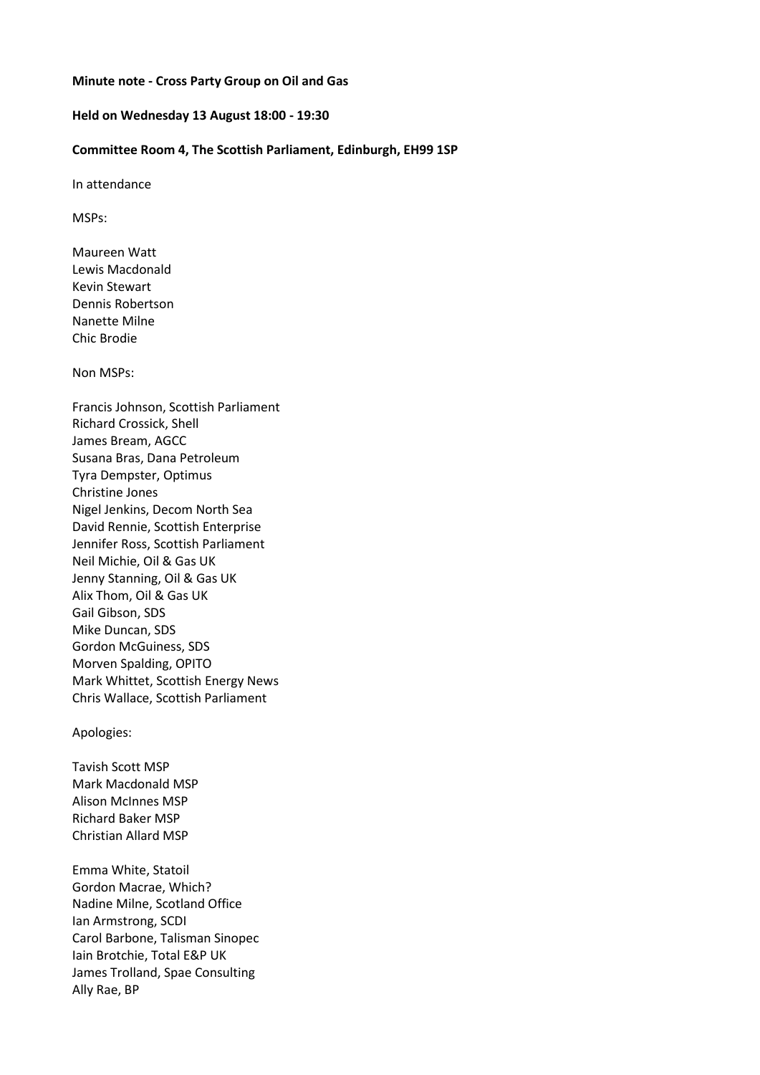## **Minute note - Cross Party Group on Oil and Gas**

## **Held on Wednesday 13 August 18:00 - 19:30**

## **Committee Room 4, The Scottish Parliament, Edinburgh, EH99 1SP**

In attendance

MSPs:

Maureen Watt Lewis Macdonald Kevin Stewart Dennis Robertson Nanette Milne Chic Brodie

Non MSPs:

Francis Johnson, Scottish Parliament Richard Crossick, Shell James Bream, AGCC Susana Bras, Dana Petroleum Tyra Dempster, Optimus Christine Jones Nigel Jenkins, Decom North Sea David Rennie, Scottish Enterprise Jennifer Ross, Scottish Parliament Neil Michie, Oil & Gas UK Jenny Stanning, Oil & Gas UK Alix Thom, Oil & Gas UK Gail Gibson, SDS Mike Duncan, SDS Gordon McGuiness, SDS Morven Spalding, OPITO Mark Whittet, Scottish Energy News Chris Wallace, Scottish Parliament

#### Apologies:

Tavish Scott MSP Mark Macdonald MSP Alison McInnes MSP Richard Baker MSP Christian Allard MSP

Emma White, Statoil Gordon Macrae, Which? Nadine Milne, Scotland Office Ian Armstrong, SCDI Carol Barbone, Talisman Sinopec Iain Brotchie, Total E&P UK James Trolland, Spae Consulting Ally Rae, BP